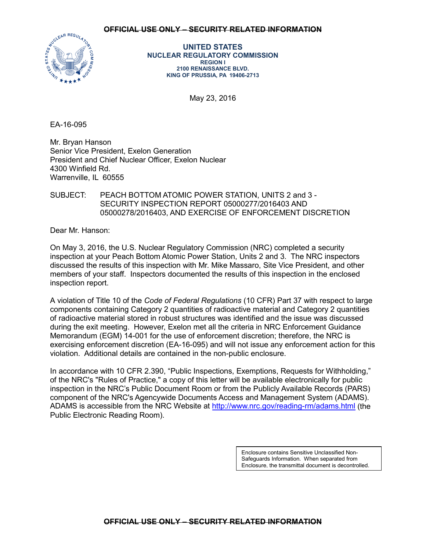## **OFFICIAL USE ONLY – SECURITY RELATED INFORMATION**



**UNITED STATES NUCLEAR REGULATORY COMMISSION REGION I 2100 RENAISSANCE BLVD. KING OF PRUSSIA, PA 19406-2713**

May 23, 2016

EA-16-095

Mr. Bryan Hanson Senior Vice President, Exelon Generation President and Chief Nuclear Officer, Exelon Nuclear 4300 Winfield Rd. Warrenville, IL 60555

SUBJECT: PEACH BOTTOM ATOMIC POWER STATION, UNITS 2 and 3 - SECURITY INSPECTION REPORT 05000277/2016403 AND 05000278/2016403, AND EXERCISE OF ENFORCEMENT DISCRETION

Dear Mr. Hanson:

On May 3, 2016, the U.S. Nuclear Regulatory Commission (NRC) completed a security inspection at your Peach Bottom Atomic Power Station, Units 2 and 3. The NRC inspectors discussed the results of this inspection with Mr. Mike Massaro, Site Vice President, and other members of your staff. Inspectors documented the results of this inspection in the enclosed inspection report.

A violation of Title 10 of the *Code of Federal Regulations* (10 CFR) Part 37 with respect to large components containing Category 2 quantities of radioactive material and Category 2 quantities of radioactive material stored in robust structures was identified and the issue was discussed during the exit meeting. However, Exelon met all the criteria in NRC Enforcement Guidance Memorandum (EGM) 14-001 for the use of enforcement discretion; therefore, the NRC is exercising enforcement discretion (EA-16-095) and will not issue any enforcement action for this violation. Additional details are contained in the non-public enclosure.

In accordance with 10 CFR 2.390, "Public Inspections, Exemptions, Requests for Withholding," of the NRC's "Rules of Practice," a copy of this letter will be available electronically for public inspection in the NRC's Public Document Room or from the Publicly Available Records (PARS) component of the NRC's Agencywide Documents Access and Management System (ADAMS). ADAMS is accessible from the NRC Website at <http://www.nrc.gov/reading-rm/adams.html> (the Public Electronic Reading Room).

> Enclosure contains Sensitive Unclassified Non-Safeguards Information. When separated from Enclosure, the transmittal document is decontrolled.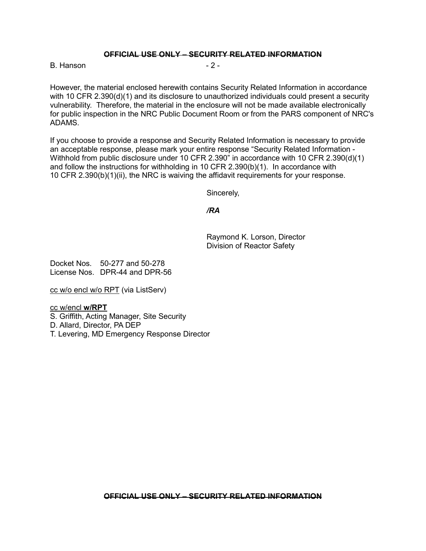## **OFFICIAL USE ONLY – SECURITY RELATED INFORMATION**

B. Hanson - 2 -

However, the material enclosed herewith contains Security Related Information in accordance with 10 CFR 2.390(d)(1) and its disclosure to unauthorized individuals could present a security vulnerability. Therefore, the material in the enclosure will not be made available electronically for public inspection in the NRC Public Document Room or from the PARS component of NRC's ADAMS.

If you choose to provide a response and Security Related Information is necessary to provide an acceptable response, please mark your entire response "Security Related Information - Withhold from public disclosure under 10 CFR 2.390" in accordance with 10 CFR 2.390(d)(1) and follow the instructions for withholding in 10 CFR 2.390(b)(1). In accordance with 10 CFR 2.390(b)(1)(ii), the NRC is waiving the affidavit requirements for your response.

Sincerely,

*/RA*

Raymond K. Lorson, Director Division of Reactor Safety

Docket Nos. 50-277 and 50-278 License Nos. DPR-44 and DPR-56

cc w/o encl w/o RPT (via ListServ)

cc w/encl **w/RPT**

S. Griffith, Acting Manager, Site Security

D. Allard, Director, PA DEP

T. Levering, MD Emergency Response Director

**OFFICIAL USE ONLY – SECURITY RELATED INFORMATION**